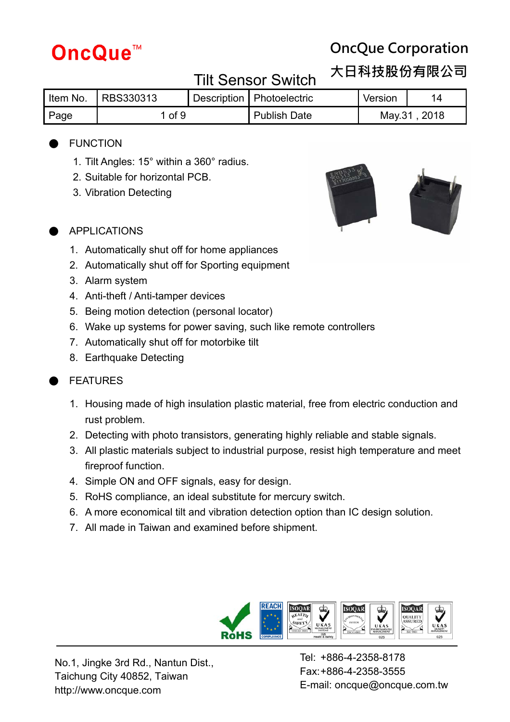# **OncQue Corporation**

**大日科技股份有限公司**

#### Tilt Sensor Switch

|      | Item No. RBS330313 |  | Description   Photoelectric | Version |              |
|------|--------------------|--|-----------------------------|---------|--------------|
| Page | $\circ$ of 9       |  | <b>Publish Date</b>         |         | May.31, 2018 |

#### **FUNCTION**

- 1. Tilt Angles: 15° within a 360° radius.
- 2. Suitable for horizontal PCB.
- 3. Vibration Detecting





#### **APPLICATIONS**

- 1. Automatically shut off for home appliances
- 2. Automatically shut off for Sporting equipment
- 3. Alarm system
- 4. Anti-theft / Anti-tamper devices
- 5. Being motion detection (personal locator)
- 6. Wake up systems for power saving, such like remote controllers
- 7. Automatically shut off for motorbike tilt
- 8. Earthquake Detecting

#### **FEATURES**

- 1. Housing made of high insulation plastic material, free from electric conduction and rust problem.
- 2. Detecting with photo transistors, generating highly reliable and stable signals.
- 3. All plastic materials subject to industrial purpose, resist high temperature and meet fireproof function.
- 4. Simple ON and OFF signals, easy for design.
- 5. RoHS compliance, an ideal substitute for mercury switch.
- 6. A more economical tilt and vibration detection option than IC design solution.
- 7. All made in Taiwan and examined before shipment.



No.1, Jingke 3rd Rd., Nantun Dist., Taichung City 40852, Taiwan http://www.oncque.com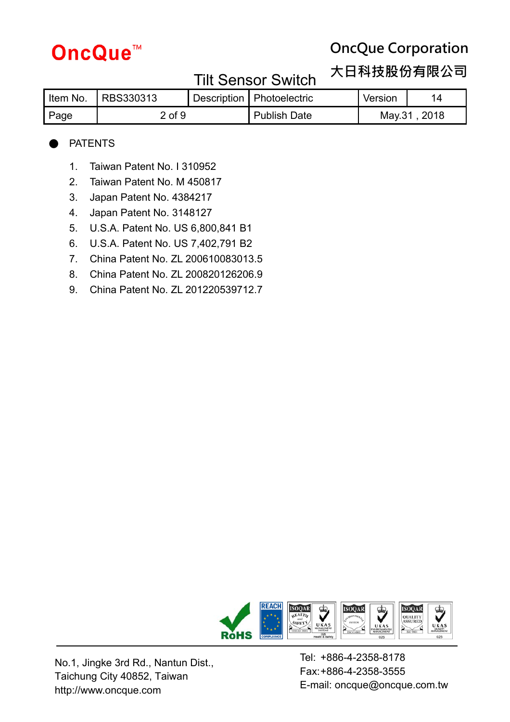# **OncQue Corporation**

**大日科技股份有限公司**

### Tilt Sensor Switch

| Item No. | RBS330313  |  | Description   Photoelectric | Version | 14     |
|----------|------------|--|-----------------------------|---------|--------|
| Page     | $2$ of $9$ |  | <b>Publish Date</b>         | Mav.31  | . 2018 |

#### **PATENTS**

- 1. Taiwan Patent No. I 310952
- 2. Taiwan Patent No. M 450817
- 3. Japan Patent No. 4384217
- 4. Japan Patent No. 3148127
- 5. U.S.A. Patent No. US 6,800,841 B1
- 6. U.S.A. Patent No. US 7,402,791 B2
- 7. China Patent No. ZL 200610083013.5
- 8. China Patent No. ZL 200820126206.9
- 9. China Patent No. ZL 201220539712.7



No.1, Jingke 3rd Rd., Nantun Dist., Taichung City 40852, Taiwan http://www.oncque.com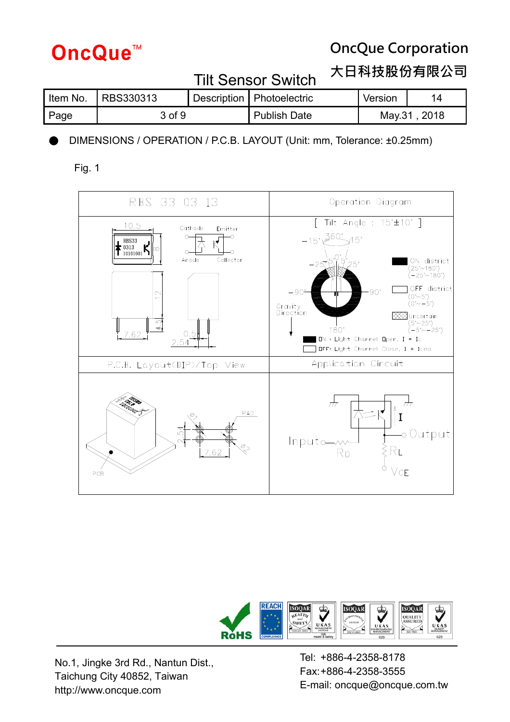

## **OncQue Corporation**

**大日科技股份有限公司**

| IIIL OUIIUUI OMILUII |                                   |  |                             |              |    |  |  |
|----------------------|-----------------------------------|--|-----------------------------|--------------|----|--|--|
|                      | Item No. $\overline{R}$ RBS330313 |  | Description   Photoelectric | Version      | 14 |  |  |
| Page                 | 3 of 9                            |  | <b>Publish Date</b>         | May.31, 2018 |    |  |  |

Tilt Sensor Switch

DIMENSIONS / OPERATION / P.C.B. LAYOUT (Unit: mm, Tolerance: ±0.25mm)

Fig. 1





No.1, Jingke 3rd Rd., Nantun Dist., Taichung City 40852, Taiwan http://www.oncque.com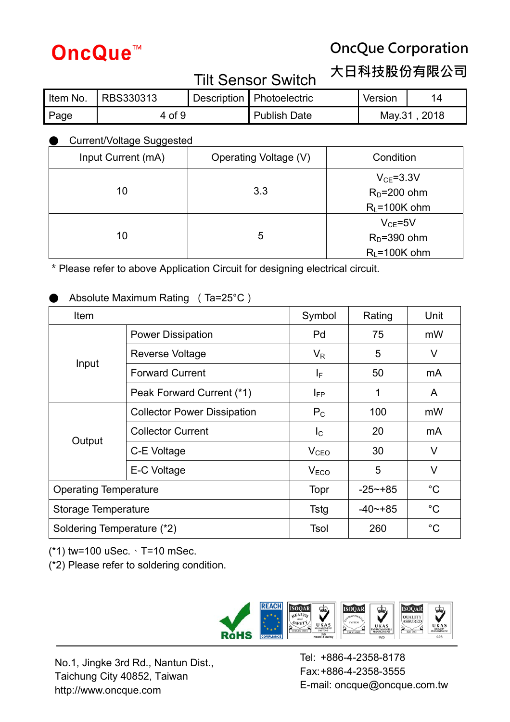# **OncQue Corporation**

**大日科技股份有限公司**

### Tilt Sensor Switch

# Item No. RBS330313 Bescription Photoelectric Version 14 Page 1 4 of 9 Publish Date May.31, 2018

#### **Current/Voltage Suggested**

| Input Current (mA) | Operating Voltage (V) | Condition                       |
|--------------------|-----------------------|---------------------------------|
| 10                 | 3.3                   | $V_{CE} = 3.3V$<br>$RD=200$ ohm |
|                    |                       | $R_L = 100K$ ohm                |
|                    |                       | $V_{CE} = 5V$                   |
| 10                 | 5                     | $RD=390$ ohm                    |
|                    |                       | $R_L = 100K$ ohm                |

\*Please refer to above Application Circuit for designing electrical circuit.

#### Absolute Maximum Rating (Ta=25°C)

| Item                         |                                    | Symbol                  | Rating       | Unit        |
|------------------------------|------------------------------------|-------------------------|--------------|-------------|
|                              | <b>Power Dissipation</b>           | Pd                      | 75           | mW          |
|                              | Reverse Voltage                    | $V_{R}$                 | 5            | V           |
| Input                        | <b>Forward Current</b>             | IF.                     | 50           | mA          |
|                              | Peak Forward Current (*1)          | $I_{FP}$                | 1            | A           |
|                              | <b>Collector Power Dissipation</b> | $P_{C}$                 | 100          | mW          |
|                              | <b>Collector Current</b>           | $\mathsf{I}_\mathsf{C}$ | 20           | mA          |
| Output                       | C-E Voltage                        | V <sub>CEO</sub>        | 30           | V           |
|                              | E-C Voltage                        | V <sub>ECO</sub>        | 5            | V           |
| <b>Operating Temperature</b> |                                    | <b>Topr</b>             | $-25$ $-185$ | $^{\circ}C$ |
|                              | Storage Temperature                |                         | $-40$ $-185$ | $^{\circ}C$ |
| Soldering Temperature (*2)   |                                    | Tsol                    | 260          | $^{\circ}C$ |

(\*1) tw=100 uSec.、T=10 mSec.

(\*2) Please refer to soldering condition.



No.1, Jingke 3rd Rd., Nantun Dist., Taichung City 40852, Taiwan http://www.oncque.com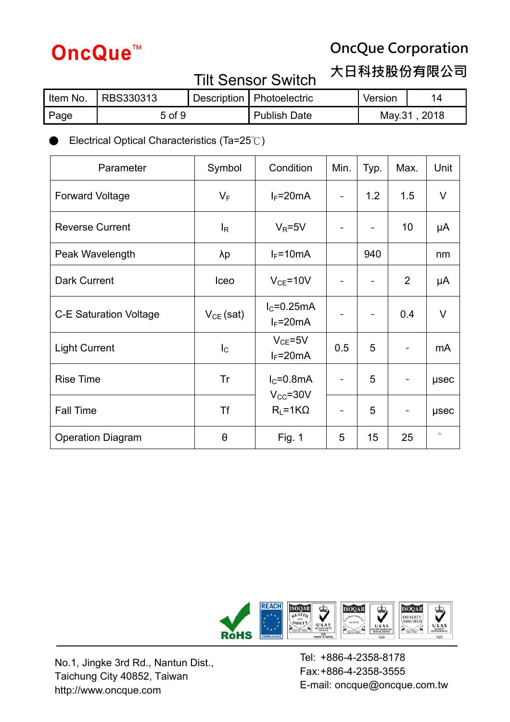# **OncQue Corporation**

**大日科技股份有限公司**

## Tilt Sensor Switch

# Item No. RBS330313 Bescription Photoelectric Version 14 Page 1 5 of 9 Publish Date May.31, 2018

● Electrical Optical Characteristics (Ta=25℃)

| Parameter                     | Symbol         | Condition                     | Min. | Typ. | Max. | Unit        |
|-------------------------------|----------------|-------------------------------|------|------|------|-------------|
| <b>Forward Voltage</b>        | $V_F$          | $I_F = 20mA$                  |      | 1.2  | 1.5  | V           |
| <b>Reverse Current</b>        | $I_R$          | $V_R = 5V$                    |      |      | 10   | μA          |
| Peak Wavelength               | λp             | $I_F = 10mA$                  |      | 940  |      | nm          |
| Dark Current                  | Iceo           | $V_{CE} = 10V$                |      |      | 2    | μA          |
| <b>C-E Saturation Voltage</b> | $V_{CE}$ (sat) | $IC=0.25mA$<br>$I_F = 20mA$   |      |      | 0.4  | $\vee$      |
| <b>Light Current</b>          | $I_{\rm C}$    | $V_{CE} = 5V$<br>$I_F = 20mA$ | 0.5  | 5    |      | mA          |
| <b>Rise Time</b>              | Tr             | $IC=0.8mA$<br>$V_{CC} = 30V$  |      | 5    | -    | usec        |
| <b>Fall Time</b>              | Tf             | $R_L = 1K\Omega$              |      | 5    | -    | <b>µsec</b> |
| <b>Operation Diagram</b>      | θ              | <b>Fig. 1</b>                 | 5    | 15   | 25   | $\circ$     |



No.1, Jingke 3rd Rd., Nantun Dist., Taichung City 40852, Taiwan http://www.oncque.com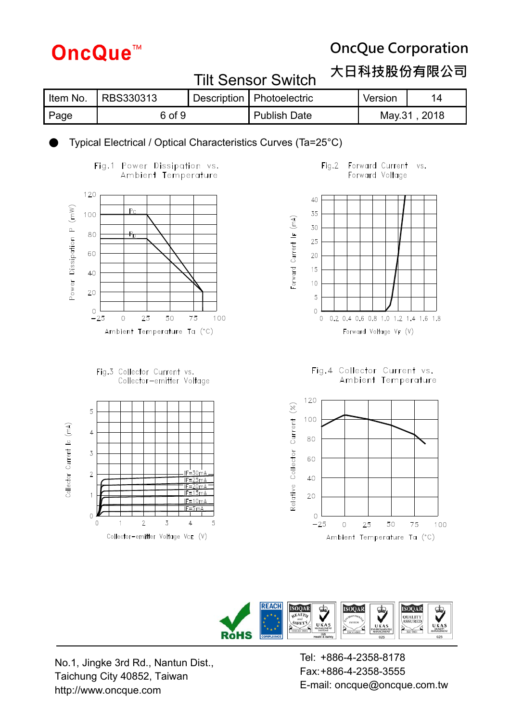## **OncQue Corporation**

#### **大日科技股份有限公司**

| .        |           |  |                             |         |               |  |
|----------|-----------|--|-----------------------------|---------|---------------|--|
| Item No. | RBS330313 |  | Description   Photoelectric | Version | 14            |  |
| Page     | 6 of 9    |  | <b>Publish Date</b>         |         | May.31 , 2018 |  |

Tilt Sensor Switch

#### Typical Electrical / Optical Characteristics Curves (Ta=25°C)





Fig.3 Collector Current vs. Collector-emitter Voltage



#### $Fig. 2$ Forward Current vs. Forward Voltage



Fig.4 Collector Current vs.<br>Ambient Temperature





No.1, Jingke 3rd Rd., Nantun Dist., Taichung City 40852, Taiwan http://www.oncque.com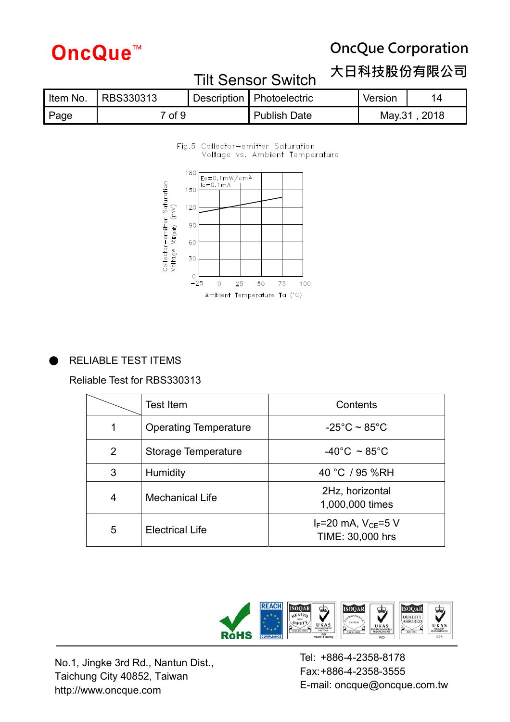# **OncQue Corporation**

#### **大日科技股份有限公司**

| Item No. | RBS330313         |  | Description   Photoelectric | Version | 14            |  |
|----------|-------------------|--|-----------------------------|---------|---------------|--|
| Page     | <sup>っ</sup> of 9 |  | <b>Publish Date</b>         |         | May.31 , 2018 |  |

Tilt Sensor Switch

#### Fig.5 Collector-emitter Saturation Voltage vs. Ambient Temperature





#### RELIABLE TEST ITEMS

Reliable Test for RBS330313

|               | Test Item                    | Contents                                          |
|---------------|------------------------------|---------------------------------------------------|
|               | <b>Operating Temperature</b> | $-25^{\circ}$ C ~ 85 $^{\circ}$ C                 |
| $\mathcal{P}$ | Storage Temperature          | $-40^{\circ}$ C ~ 85 $^{\circ}$ C                 |
| 3             | <b>Humidity</b>              | 40 °C / 95 %RH                                    |
| 4             | <b>Mechanical Life</b>       | 2Hz, horizontal<br>1,000,000 times                |
| 5             | <b>Electrical Life</b>       | $I_F = 20$ mA, $V_{CE} = 5$ V<br>TIME: 30,000 hrs |



No.1, Jingke 3rd Rd., Nantun Dist., Taichung City 40852, Taiwan http://www.oncque.com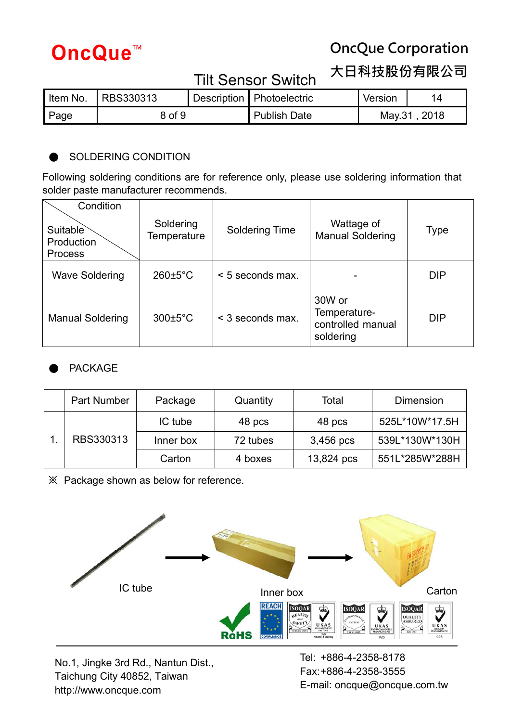# **OncQue Corporation**

**大日科技股份有限公司**

#### Tilt Sensor Switch

| ltem No. | <b>RBS330313</b> |  | Description   Photoelectric | Version      | 14 |
|----------|------------------|--|-----------------------------|--------------|----|
| Page     | 8 of 9           |  | <b>Publish Date</b>         | May.31, 2018 |    |

#### SOLDERING CONDITION

Following soldering conditions are for reference only, please use soldering information that solder paste manufacturer recommends.

| Condition<br>Suitable<br>Production<br><b>Process</b> | Soldering<br><b>Temperature</b> | <b>Soldering Time</b> | Wattage of<br><b>Manual Soldering</b>                    | Type       |
|-------------------------------------------------------|---------------------------------|-----------------------|----------------------------------------------------------|------------|
| <b>Wave Soldering</b>                                 | $260 \pm 5^{\circ}$ C           | < 5 seconds max.      |                                                          | <b>DIP</b> |
| <b>Manual Soldering</b>                               | $300 \pm 5^{\circ}$ C           | < 3 seconds max.      | 30W or<br>Temperature-<br>controlled manual<br>soldering | <b>DIP</b> |

#### **PACKAGE**

| Part Number | Package   | Quantity | Total      | Dimension      |
|-------------|-----------|----------|------------|----------------|
|             | IC tube   | 48 pcs   | 48 pcs     | 525L*10W*17.5H |
| RBS330313   | Inner box | 72 tubes | 3,456 pcs  | 539L*130W*130H |
|             | Carton    | 4 boxes  | 13,824 pcs | 551L*285W*288H |

**※** Package shown as below for reference.



No.1, Jingke 3rd Rd., Nantun Dist., Taichung City 40852, Taiwan http://www.oncque.com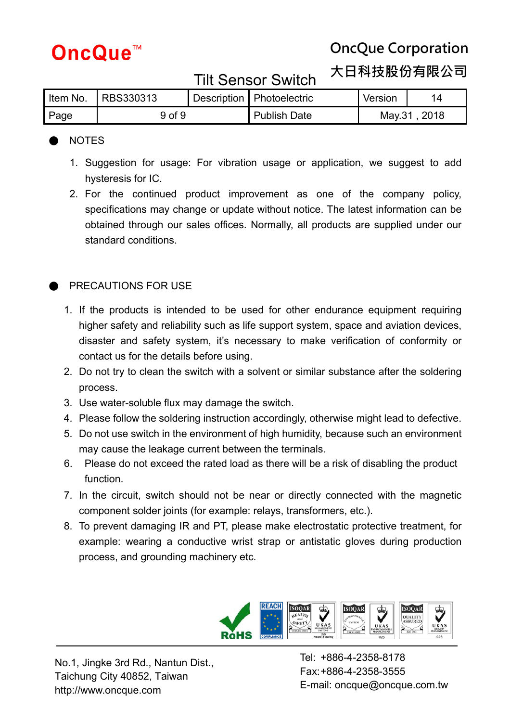## **OncQue Corporation**

**大日科技股份有限公司**

#### Tilt Sensor Switch

|      | Item No.   RBS330313 |  | Description   Photoelectric | Version      |  |
|------|----------------------|--|-----------------------------|--------------|--|
| Page | 9 of 9               |  | Publish Date                | May.31, 2018 |  |

#### ● NOTES

- 1. Suggestion for usage: For vibration usage or application, we suggest to add hysteresis for IC.
- 2. For the continued product improvement as one of the company policy, specifications may change or update without notice. The latest information can be obtained through our sales offices. Normally, all products are supplied under our standard conditions.

#### PRECAUTIONS FOR USE

- 1. If the products is intended to be used for other endurance equipment requiring higher safety and reliability such as life support system, space and aviation devices, disaster and safety system, it's necessary to make verification of conformity or contact us for the details before using.
- 2. Do not try to clean the switch with a solvent or similar substance after the soldering process.
- 3. Use water-soluble flux may damage the switch.
- 4. Please follow the soldering instruction accordingly, otherwise might lead to defective.
- 5. Do not use switch in the environment of high humidity, because such an environment may cause the leakage current between the terminals.
- 6. Please do not exceed the rated load as there will be a risk of disabling the product function.
- 7. In the circuit, switch should not be near or directly connected with the magnetic component solder joints (for example: relays, transformers, etc.).
- 8. To prevent damaging IR and PT, please make electrostatic protective treatment, for example: wearing a conductive wrist strap or antistatic gloves during production process, and grounding machinery etc.



No.1, Jingke 3rd Rd., Nantun Dist., Taichung City 40852, Taiwan http://www.oncque.com